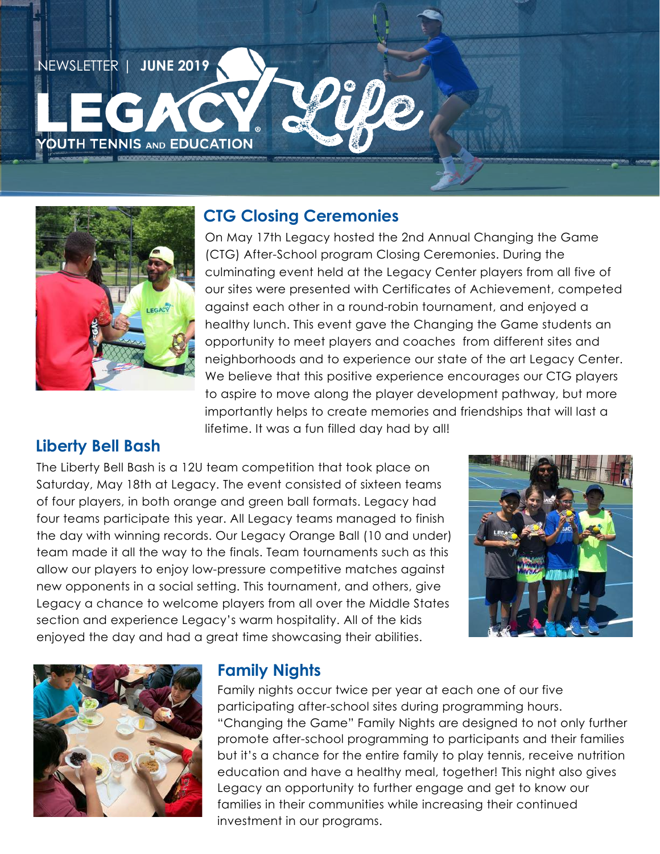



### **CTG Closing Ceremonies**

On May 17th Legacy hosted the 2nd Annual Changing the Game (CTG) After-School program Closing Ceremonies. During the culminating event held at the Legacy Center players from all five of our sites were presented with Certificates of Achievement, competed against each other in a round-robin tournament, and enjoyed a healthy lunch. This event gave the Changing the Game students an opportunity to meet players and coaches from different sites and neighborhoods and to experience our state of the art Legacy Center. We believe that this positive experience encourages our CTG players to aspire to move along the player development pathway, but more importantly helps to create memories and friendships that will last a lifetime. It was a fun filled day had by all!

### **Liberty Bell Bash**

The Liberty Bell Bash is a 12U team competition that took place on Saturday, May 18th at Legacy. The event consisted of sixteen teams of four players, in both orange and green ball formats. Legacy had four teams participate this year. All Legacy teams managed to finish the day with winning records. Our Legacy Orange Ball (10 and under) team made it all the way to the finals. Team tournaments such as this allow our players to enjoy low-pressure competitive matches against new opponents in a social setting. This tournament, and others, give Legacy a chance to welcome players from all over the Middle States section and experience Legacy's warm hospitality. All of the kids enjoyed the day and had a great time showcasing their abilities.





### **Family Nights**

Family nights occur twice per year at each one of our five participating after-school sites during programming hours. "Changing the Game" Family Nights are designed to not only further promote after-school programming to participants and their families but it's a chance for the entire family to play tennis, receive nutrition education and have a healthy meal, together! This night also gives Legacy an opportunity to further engage and get to know our families in their communities while increasing their continued investment in our programs.